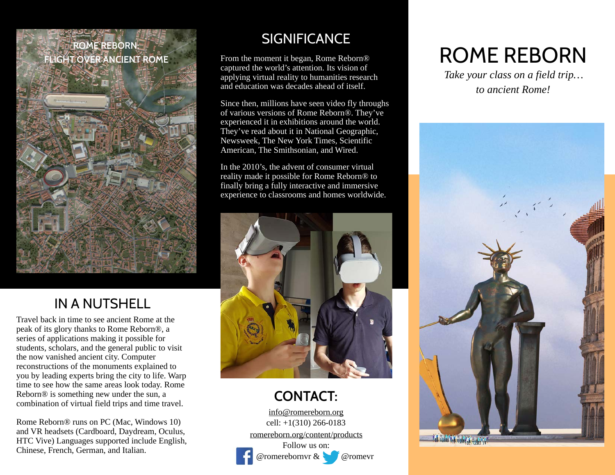# **ROME REBORN:**



# **SIGNIFICANCE**

From the moment it began, Rome Reborn® captured the world's attention. Its vision of applying virtual reality to humanities research and education was decades ahead of itself.

Since then, millions have seen video fly throughs of various versions of Rome Reborn®. They've experienced it in exhibitions around the world. They've read about it in National Geographic, Newsweek, The New York Times, Scientific American, The Smithsonian, and Wired.

In the 2010's, the advent of consumer virtual reality made it possible for Rome Reborn® to finally bring a fully interactive and immersive experience to classrooms and homes worldwide.



# **CONTACT:**

[info@romereborn.org](mailto:info@romereborn.org) cell: +1(310) 266-0183 [romereborn.org/content/products](http://romereborn.org/content/products) Follow us on:



@romerebornvr & @romevr

# FLIGHT OVER ANCIENT ROME<br>FLIGHT OVER ANCIENT ROME From the moment it began, Rome Reborn® ROME REBORN

*Take your class on a field trip… to ancient Rome!*



# IN A NUTSHELL

Travel back in time to see ancient Rome at the peak of its glory thanks to Rome Reborn®, a series of applications making it possible for students, scholars, and the general public to visit the now vanished ancient city. Computer reconstructions of the monuments explained to you by leading experts bring the city to life. Warp time to see how the same areas look today. Rome Reborn® is something new under the sun, a combination of virtual field trips and time travel.

Rome Reborn® runs on PC (Mac, Windows 10) and VR headsets (Cardboard, Daydream, Oculus, HTC Vive) Languages supported include English, Chinese, French, German, and Italian.